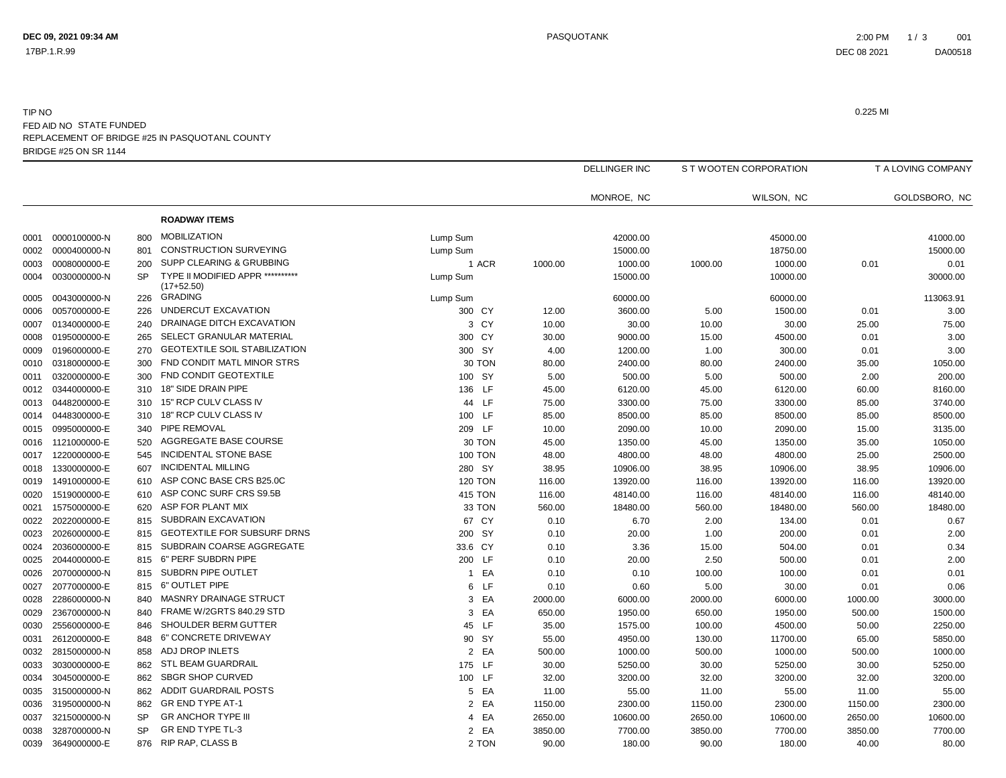17BP.1.R.99

## BRIDGE #25 ON SR 1144TIP NO0.225 MI FED AID NO STATE FUNDED<br>----------------------REPLACEMENT OF BRIDGE #25 IN PASQUOTANL COUNTY

|      |              |           |                                                  |                |         | <b>DELLINGER INC</b> |         | S T WOOTEN CORPORATION |         | T A LOVING COMPANY |  |
|------|--------------|-----------|--------------------------------------------------|----------------|---------|----------------------|---------|------------------------|---------|--------------------|--|
|      |              |           |                                                  |                |         | MONROE, NC           |         | WILSON, NC             |         | GOLDSBORO, NC      |  |
|      |              |           | <b>ROADWAY ITEMS</b>                             |                |         |                      |         |                        |         |                    |  |
| 0001 | 0000100000-N | 800       | <b>MOBILIZATION</b>                              | Lump Sum       |         | 42000.00             |         | 45000.00               |         | 41000.00           |  |
| 0002 | 0000400000-N | 801       | <b>CONSTRUCTION SURVEYING</b>                    | Lump Sum       |         | 15000.00             |         | 18750.00               |         | 15000.00           |  |
| 0003 | 0008000000-E | 200       | SUPP CLEARING & GRUBBING                         | 1 ACR          | 1000.00 | 1000.00              | 1000.00 | 1000.00                | 0.01    | 0.01               |  |
| 0004 | 0030000000-N | <b>SP</b> | TYPE II MODIFIED APPR **********<br>$(17+52.50)$ | Lump Sum       |         | 15000.00             |         | 10000.00               |         | 30000.00           |  |
| 0005 | 0043000000-N | 226       | <b>GRADING</b>                                   | Lump Sum       |         | 60000.00             |         | 60000.00               |         | 113063.91          |  |
| 0006 | 0057000000-E | 226       | UNDERCUT EXCAVATION                              | 300 CY         | 12.00   | 3600.00              | 5.00    | 1500.00                | 0.01    | 3.00               |  |
| 0007 | 0134000000-E | 240       | DRAINAGE DITCH EXCAVATION                        | 3 CY           | 10.00   | 30.00                | 10.00   | 30.00                  | 25.00   | 75.00              |  |
| 0008 | 0195000000-E | 265       | SELECT GRANULAR MATERIAL                         | 300 CY         | 30.00   | 9000.00              | 15.00   | 4500.00                | 0.01    | 3.00               |  |
| 0009 | 0196000000-E | 270       | <b>GEOTEXTILE SOIL STABILIZATION</b>             | 300 SY         | 4.00    | 1200.00              | 1.00    | 300.00                 | 0.01    | 3.00               |  |
| 0010 | 0318000000-E | 300       | FND CONDIT MATL MINOR STRS                       | 30 TON         | 80.00   | 2400.00              | 80.00   | 2400.00                | 35.00   | 1050.00            |  |
| 0011 | 0320000000-E | 300       | FND CONDIT GEOTEXTILE                            | 100 SY         | 5.00    | 500.00               | 5.00    | 500.00                 | 2.00    | 200.00             |  |
| 0012 | 0344000000-E | 310       | 18" SIDE DRAIN PIPE                              | 136 LF         | 45.00   | 6120.00              | 45.00   | 6120.00                | 60.00   | 8160.00            |  |
| 0013 | 0448200000-E | 310       | 15" RCP CULV CLASS IV                            | 44 LF          | 75.00   | 3300.00              | 75.00   | 3300.00                | 85.00   | 3740.00            |  |
| 0014 | 0448300000-E | 310       | 18" RCP CULV CLASS IV                            | 100 LF         | 85.00   | 8500.00              | 85.00   | 8500.00                | 85.00   | 8500.00            |  |
| 0015 | 0995000000-E | 340       | PIPE REMOVAL                                     | 209 LF         | 10.00   | 2090.00              | 10.00   | 2090.00                | 15.00   | 3135.00            |  |
| 0016 | 1121000000-E | 520       | AGGREGATE BASE COURSE                            | 30 TON         | 45.00   | 1350.00              | 45.00   | 1350.00                | 35.00   | 1050.00            |  |
| 0017 | 1220000000-E | 545       | <b>INCIDENTAL STONE BASE</b>                     | <b>100 TON</b> | 48.00   | 4800.00              | 48.00   | 4800.00                | 25.00   | 2500.00            |  |
| 0018 | 1330000000-E | 607       | <b>INCIDENTAL MILLING</b>                        | 280 SY         | 38.95   | 10906.00             | 38.95   | 10906.00               | 38.95   | 10906.00           |  |
| 0019 | 1491000000-E | 610       | ASP CONC BASE CRS B25.0C                         | <b>120 TON</b> | 116.00  | 13920.00             | 116.00  | 13920.00               | 116.00  | 13920.00           |  |
| 0020 | 1519000000-E | 610       | ASP CONC SURF CRS S9.5B                          | <b>415 TON</b> | 116.00  | 48140.00             | 116.00  | 48140.00               | 116.00  | 48140.00           |  |
| 0021 | 1575000000-E | 620       | ASP FOR PLANT MIX                                | 33 TON         | 560.00  | 18480.00             | 560.00  | 18480.00               | 560.00  | 18480.00           |  |
| 0022 | 2022000000-E | 815       | SUBDRAIN EXCAVATION                              | 67 CY          | 0.10    | 6.70                 | 2.00    | 134.00                 | 0.01    | 0.67               |  |
| 0023 | 2026000000-E | 815       | <b>GEOTEXTILE FOR SUBSURF DRNS</b>               | 200 SY         | 0.10    | 20.00                | 1.00    | 200.00                 | 0.01    | 2.00               |  |
| 0024 | 2036000000-E | 815       | SUBDRAIN COARSE AGGREGATE                        | 33.6 CY        | 0.10    | 3.36                 | 15.00   | 504.00                 | 0.01    | 0.34               |  |
| 0025 | 2044000000-E | 815       | 6" PERF SUBDRN PIPE                              | 200 LF         | 0.10    | 20.00                | 2.50    | 500.00                 | 0.01    | 2.00               |  |
| 0026 | 2070000000-N | 815       | SUBDRN PIPE OUTLET                               | 1 EA           | 0.10    | 0.10                 | 100.00  | 100.00                 | 0.01    | 0.01               |  |
| 0027 | 2077000000-E | 815       | 6" OUTLET PIPE                                   | LF<br>6        | 0.10    | 0.60                 | 5.00    | 30.00                  | 0.01    | 0.06               |  |
| 0028 | 2286000000-N | 840       | MASNRY DRAINAGE STRUCT                           | EA<br>3        | 2000.00 | 6000.00              | 2000.00 | 6000.00                | 1000.00 | 3000.00            |  |
| 0029 | 2367000000-N | 840       | FRAME W/2GRTS 840.29 STD                         | 3 EA           | 650.00  | 1950.00              | 650.00  | 1950.00                | 500.00  | 1500.00            |  |
| 0030 | 2556000000-E | 846       | SHOULDER BERM GUTTER                             | 45 LF          | 35.00   | 1575.00              | 100.00  | 4500.00                | 50.00   | 2250.00            |  |
| 0031 | 2612000000-E | 848       | 6" CONCRETE DRIVEWAY                             | 90 SY          | 55.00   | 4950.00              | 130.00  | 11700.00               | 65.00   | 5850.00            |  |
| 0032 | 2815000000-N | 858       | ADJ DROP INLETS                                  | 2 EA           | 500.00  | 1000.00              | 500.00  | 1000.00                | 500.00  | 1000.00            |  |
| 0033 | 3030000000-E | 862       | <b>STL BEAM GUARDRAIL</b>                        | 175 LF         | 30.00   | 5250.00              | 30.00   | 5250.00                | 30.00   | 5250.00            |  |
| 0034 | 3045000000-E | 862       | <b>SBGR SHOP CURVED</b>                          | 100 LF         | 32.00   | 3200.00              | 32.00   | 3200.00                | 32.00   | 3200.00            |  |
| 0035 | 3150000000-N | 862       | <b>ADDIT GUARDRAIL POSTS</b>                     | 5 EA           | 11.00   | 55.00                | 11.00   | 55.00                  | 11.00   | 55.00              |  |
| 0036 | 3195000000-N | 862       | <b>GR END TYPE AT-1</b>                          | 2 EA           | 1150.00 | 2300.00              | 1150.00 | 2300.00                | 1150.00 | 2300.00            |  |
| 0037 | 3215000000-N | <b>SP</b> | <b>GR ANCHOR TYPE III</b>                        | 4 EA           | 2650.00 | 10600.00             | 2650.00 | 10600.00               | 2650.00 | 10600.00           |  |
| 0038 | 3287000000-N | SP        | GR END TYPE TL-3                                 | 2 EA           | 3850.00 | 7700.00              | 3850.00 | 7700.00                | 3850.00 | 7700.00            |  |
| 0039 | 3649000000-E | 876       | <b>RIP RAP, CLASS B</b>                          | 2 TON          | 90.00   | 180.00               | 90.00   | 180.00                 | 40.00   | 80.00              |  |
|      |              |           |                                                  |                |         |                      |         |                        |         |                    |  |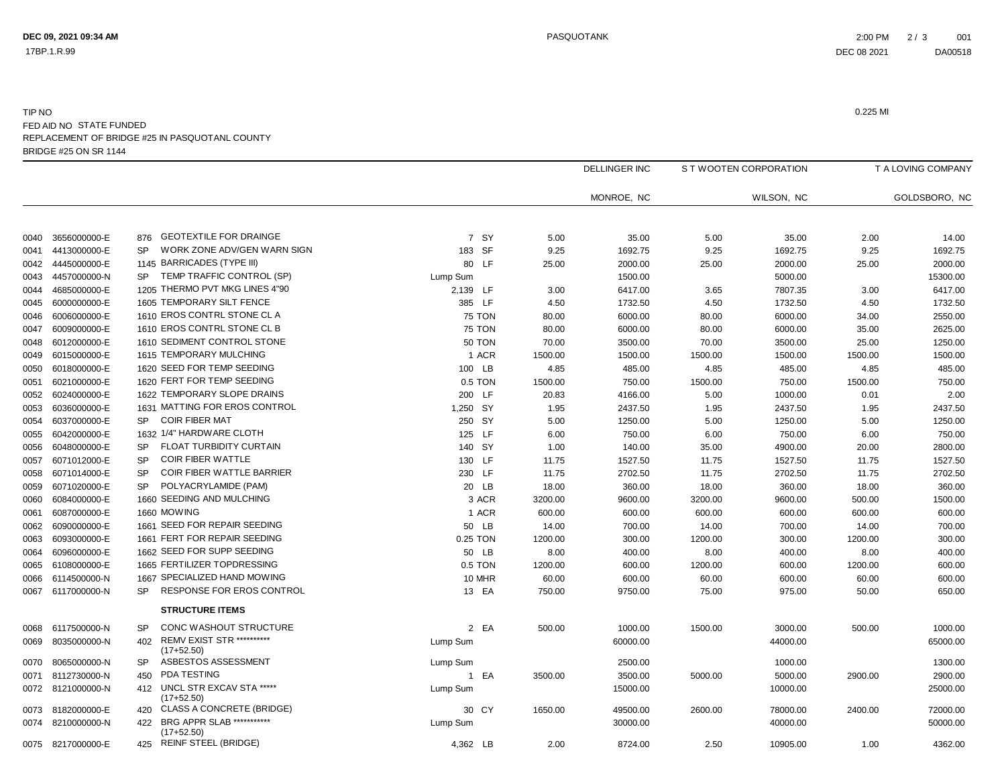17BP.1.R.99

## BRIDGE #25 ON SR 1144TIP NO0.225 MI FED AID NO STATE FUNDED<br>----------------------REPLACEMENT OF BRIDGE #25 IN PASQUOTANL COUNTY

|      |                   |           |                                                |               |         | <b>DELLINGER INC</b> | S T WOOTEN CORPORATION |            | T A LOVING COMPANY |               |
|------|-------------------|-----------|------------------------------------------------|---------------|---------|----------------------|------------------------|------------|--------------------|---------------|
|      |                   |           |                                                |               |         | MONROE, NC           |                        | WILSON, NC |                    | GOLDSBORO, NC |
| 0040 | 3656000000-E      | 876       | <b>GEOTEXTILE FOR DRAINGE</b>                  | 7 SY          | 5.00    | 35.00                | 5.00                   | 35.00      | 2.00               | 14.00         |
| 0041 | 4413000000-E      | <b>SP</b> | WORK ZONE ADV/GEN WARN SIGN                    | 183 SF        | 9.25    | 1692.75              | 9.25                   | 1692.75    | 9.25               | 1692.75       |
| 0042 | 4445000000-E      |           | 1145 BARRICADES (TYPE III)                     | 80 LF         | 25.00   | 2000.00              | 25.00                  | 2000.00    | 25.00              | 2000.00       |
| 0043 | 4457000000-N      | <b>SP</b> | TEMP TRAFFIC CONTROL (SP)                      | Lump Sum      |         | 1500.00              |                        | 5000.00    |                    | 15300.00      |
| 0044 | 4685000000-E      |           | 1205 THERMO PVT MKG LINES 4"90                 | 2,139 LF      | 3.00    | 6417.00              | 3.65                   | 7807.35    | 3.00               | 6417.00       |
| 0045 | 6000000000-E      |           | 1605 TEMPORARY SILT FENCE                      | 385 LF        | 4.50    | 1732.50              | 4.50                   | 1732.50    | 4.50               | 1732.50       |
| 0046 | 6006000000-E      |           | 1610 EROS CONTRL STONE CL A                    | <b>75 TON</b> | 80.00   | 6000.00              | 80.00                  | 6000.00    | 34.00              | 2550.00       |
| 0047 | 6009000000-E      |           | 1610 EROS CONTRL STONE CL B                    | 75 TON        | 80.00   | 6000.00              | 80.00                  | 6000.00    | 35.00              | 2625.00       |
| 0048 | 6012000000-E      |           | 1610 SEDIMENT CONTROL STONE                    | <b>50 TON</b> | 70.00   | 3500.00              | 70.00                  | 3500.00    | 25.00              | 1250.00       |
| 0049 | 6015000000-E      |           | 1615 TEMPORARY MULCHING                        | 1 ACR         | 1500.00 | 1500.00              | 1500.00                | 1500.00    | 1500.00            | 1500.00       |
| 0050 | 6018000000-E      |           | 1620 SEED FOR TEMP SEEDING                     | 100 LB        | 4.85    | 485.00               | 4.85                   | 485.00     | 4.85               | 485.00        |
| 0051 | 6021000000-E      |           | 1620 FERT FOR TEMP SEEDING                     | 0.5 TON       | 1500.00 | 750.00               | 1500.00                | 750.00     | 1500.00            | 750.00        |
| 0052 | 6024000000-E      |           | 1622 TEMPORARY SLOPE DRAINS                    | 200 LF        | 20.83   | 4166.00              | 5.00                   | 1000.00    | 0.01               | 2.00          |
| 0053 | 6036000000-E      |           | 1631 MATTING FOR EROS CONTROL                  | 1,250 SY      | 1.95    | 2437.50              | 1.95                   | 2437.50    | 1.95               | 2437.50       |
| 0054 | 6037000000-E      | <b>SP</b> | <b>COIR FIBER MAT</b>                          | 250 SY        | 5.00    | 1250.00              | 5.00                   | 1250.00    | 5.00               | 1250.00       |
| 0055 | 6042000000-E      |           | 1632 1/4" HARDWARE CLOTH                       | 125 LF        | 6.00    | 750.00               | 6.00                   | 750.00     | 6.00               | 750.00        |
| 0056 | 6048000000-E      | <b>SP</b> | FLOAT TURBIDITY CURTAIN                        | 140 SY        | 1.00    | 140.00               | 35.00                  | 4900.00    | 20.00              | 2800.00       |
| 0057 | 6071012000-E      | <b>SP</b> | <b>COIR FIBER WATTLE</b>                       | 130 LF        | 11.75   | 1527.50              | 11.75                  | 1527.50    | 11.75              | 1527.50       |
| 0058 | 6071014000-E      | <b>SP</b> | COIR FIBER WATTLE BARRIER                      | 230 LF        | 11.75   | 2702.50              | 11.75                  | 2702.50    | 11.75              | 2702.50       |
| 0059 | 6071020000-E      | <b>SP</b> | POLYACRYLAMIDE (PAM)                           | 20 LB         | 18.00   | 360.00               | 18.00                  | 360.00     | 18.00              | 360.00        |
| 0060 | 6084000000-E      |           | 1660 SEEDING AND MULCHING                      | 3 ACR         | 3200.00 | 9600.00              | 3200.00                | 9600.00    | 500.00             | 1500.00       |
| 0061 | 6087000000-E      |           | 1660 MOWING                                    | 1 ACR         | 600.00  | 600.00               | 600.00                 | 600.00     | 600.00             | 600.00        |
| 0062 | 6090000000-E      |           | 1661 SEED FOR REPAIR SEEDING                   | 50 LB         | 14.00   | 700.00               | 14.00                  | 700.00     | 14.00              | 700.00        |
| 0063 | 6093000000-E      |           | 1661 FERT FOR REPAIR SEEDING                   | 0.25 TON      | 1200.00 | 300.00               | 1200.00                | 300.00     | 1200.00            | 300.00        |
| 0064 | 6096000000-E      |           | 1662 SEED FOR SUPP SEEDING                     | 50 LB         | 8.00    | 400.00               | 8.00                   | 400.00     | 8.00               | 400.00        |
| 0065 | 6108000000-E      |           | 1665 FERTILIZER TOPDRESSING                    | 0.5 TON       | 1200.00 | 600.00               | 1200.00                | 600.00     | 1200.00            | 600.00        |
| 0066 | 6114500000-N      |           | 1667 SPECIALIZED HAND MOWING                   | 10 MHR        | 60.00   | 600.00               | 60.00                  | 600.00     | 60.00              | 600.00        |
| 0067 | 6117000000-N      | <b>SP</b> | RESPONSE FOR EROS CONTROL                      | 13 EA         | 750.00  | 9750.00              | 75.00                  | 975.00     | 50.00              | 650.00        |
|      |                   |           | <b>STRUCTURE ITEMS</b>                         |               |         |                      |                        |            |                    |               |
|      |                   | <b>SP</b> | CONC WASHOUT STRUCTURE                         |               |         |                      |                        |            |                    |               |
| 0068 | 6117500000-N      | 402       | <b>REMV EXIST STR **********</b>               | 2 EA          | 500.00  | 1000.00              | 1500.00                | 3000.00    | 500.00             | 1000.00       |
| 0069 | 8035000000-N      |           | $(17+52.50)$                                   | Lump Sum      |         | 60000.00             |                        | 44000.00   |                    | 65000.00      |
| 0070 | 8065000000-N      | <b>SP</b> | ASBESTOS ASSESSMENT                            | Lump Sum      |         | 2500.00              |                        | 1000.00    |                    | 1300.00       |
| 0071 | 8112730000-N      | 450       | PDA TESTING                                    | 1 EA          | 3500.00 | 3500.00              | 5000.00                | 5000.00    | 2900.00            | 2900.00       |
|      | 0072 8121000000-N | 412       | UNCL STR EXCAV STA *****<br>$(17+52.50)$       | Lump Sum      |         | 15000.00             |                        | 10000.00   |                    | 25000.00      |
| 0073 | 8182000000-E      |           | 420 CLASS A CONCRETE (BRIDGE)                  | 30 CY         | 1650.00 | 49500.00             | 2600.00                | 78000.00   | 2400.00            | 72000.00      |
| 0074 | 8210000000-N      |           | 422 BRG APPR SLAB ************<br>$(17+52.50)$ | Lump Sum      |         | 30000.00             |                        | 40000.00   |                    | 50000.00      |
|      | 0075 8217000000-E | 425       | <b>REINF STEEL (BRIDGE)</b>                    | 4,362 LB      | 2.00    | 8724.00              | 2.50                   | 10905.00   | 1.00               | 4362.00       |